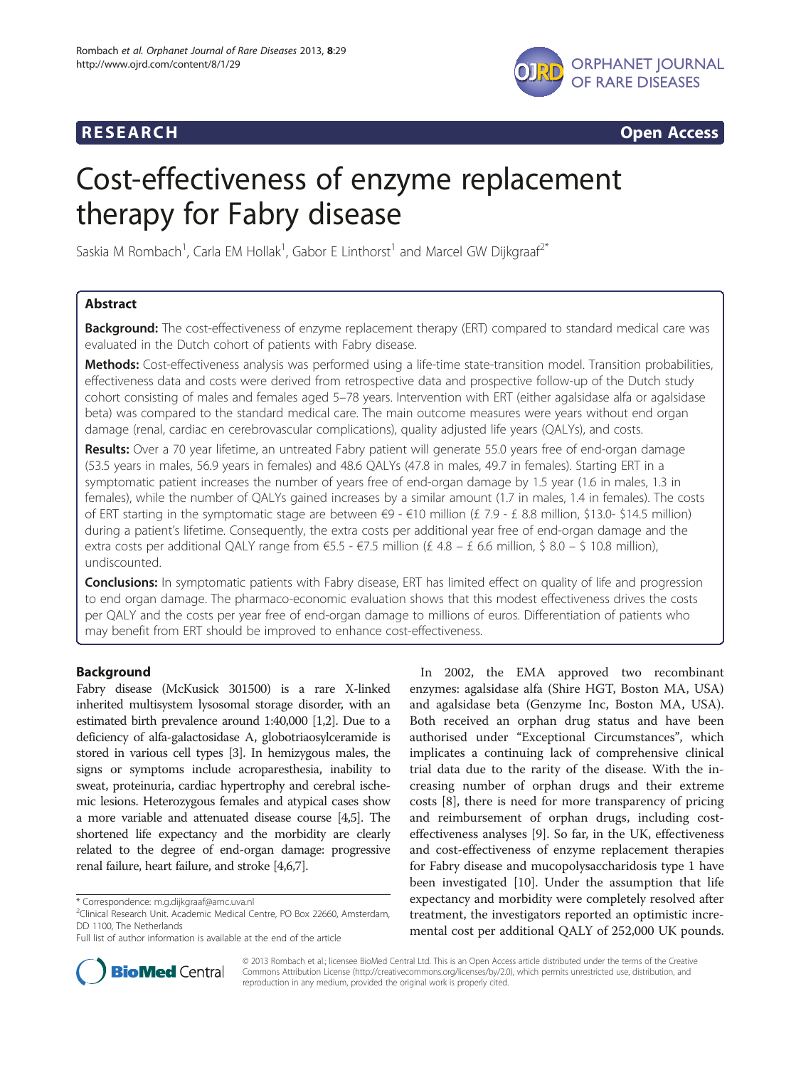

**RESEARCH RESEARCH CONSUMING ACCESS** 

# Cost-effectiveness of enzyme replacement therapy for Fabry disease

Saskia M Rombach<sup>1</sup>, Carla EM Hollak<sup>1</sup>, Gabor E Linthorst<sup>1</sup> and Marcel GW Dijkgraaf<sup>2\*</sup>

# Abstract

Background: The cost-effectiveness of enzyme replacement therapy (ERT) compared to standard medical care was evaluated in the Dutch cohort of patients with Fabry disease.

Methods: Cost-effectiveness analysis was performed using a life-time state-transition model. Transition probabilities, effectiveness data and costs were derived from retrospective data and prospective follow-up of the Dutch study cohort consisting of males and females aged 5–78 years. Intervention with ERT (either agalsidase alfa or agalsidase beta) was compared to the standard medical care. The main outcome measures were years without end organ damage (renal, cardiac en cerebrovascular complications), quality adjusted life years (QALYs), and costs.

Results: Over a 70 year lifetime, an untreated Fabry patient will generate 55.0 years free of end-organ damage (53.5 years in males, 56.9 years in females) and 48.6 QALYs (47.8 in males, 49.7 in females). Starting ERT in a symptomatic patient increases the number of years free of end-organ damage by 1.5 year (1.6 in males, 1.3 in females), while the number of QALYs gained increases by a similar amount (1.7 in males, 1.4 in females). The costs of ERT starting in the symptomatic stage are between €9 - €10 million (£ 7.9 - £ 8.8 million, \$13.0- \$14.5 million) during a patient's lifetime. Consequently, the extra costs per additional year free of end-organ damage and the extra costs per additional QALY range from  $\epsilon$ 5.5 -  $\epsilon$ 7.5 million (£ 4.8 – £ 6.6 million, \$ 8.0 – \$ 10.8 million), undiscounted.

**Conclusions:** In symptomatic patients with Fabry disease, ERT has limited effect on quality of life and progression to end organ damage. The pharmaco-economic evaluation shows that this modest effectiveness drives the costs per QALY and the costs per year free of end-organ damage to millions of euros. Differentiation of patients who may benefit from ERT should be improved to enhance cost-effectiveness.

# Background

Fabry disease (McKusick 301500) is a rare X-linked inherited multisystem lysosomal storage disorder, with an estimated birth prevalence around 1:40,000 [\[1,2\]](#page-7-0). Due to a deficiency of alfa-galactosidase A, globotriaosylceramide is stored in various cell types [\[3\]](#page-7-0). In hemizygous males, the signs or symptoms include acroparesthesia, inability to sweat, proteinuria, cardiac hypertrophy and cerebral ischemic lesions. Heterozygous females and atypical cases show a more variable and attenuated disease course [\[4,5](#page-7-0)]. The shortened life expectancy and the morbidity are clearly related to the degree of end-organ damage: progressive renal failure, heart failure, and stroke [\[4,6,7](#page-7-0)].

In 2002, the EMA approved two recombinant enzymes: agalsidase alfa (Shire HGT, Boston MA, USA) and agalsidase beta (Genzyme Inc, Boston MA, USA). Both received an orphan drug status and have been authorised under "Exceptional Circumstances", which implicates a continuing lack of comprehensive clinical trial data due to the rarity of the disease. With the increasing number of orphan drugs and their extreme costs [[8\]](#page-7-0), there is need for more transparency of pricing and reimbursement of orphan drugs, including costeffectiveness analyses [\[9](#page-7-0)]. So far, in the UK, effectiveness and cost-effectiveness of enzyme replacement therapies for Fabry disease and mucopolysaccharidosis type 1 have been investigated [\[10\]](#page-7-0). Under the assumption that life expectancy and morbidity were completely resolved after treatment, the investigators reported an optimistic incremental cost per additional QALY of 252,000 UK pounds.



© 2013 Rombach et al.; licensee BioMed Central Ltd. This is an Open Access article distributed under the terms of the Creative Commons Attribution License [\(http://creativecommons.org/licenses/by/2.0\)](http://creativecommons.org/licenses/by/2.0), which permits unrestricted use, distribution, and reproduction in any medium, provided the original work is properly cited.

<sup>\*</sup> Correspondence: [m.g.dijkgraaf@amc.uva.nl](mailto:m.g.dijkgraaf@amc.uva.nl) <sup>2</sup>

 $^{2}$ Clinical Research Unit. Academic Medical Centre, PO Box 22660, Amsterdam, DD 1100, The Netherlands

Full list of author information is available at the end of the article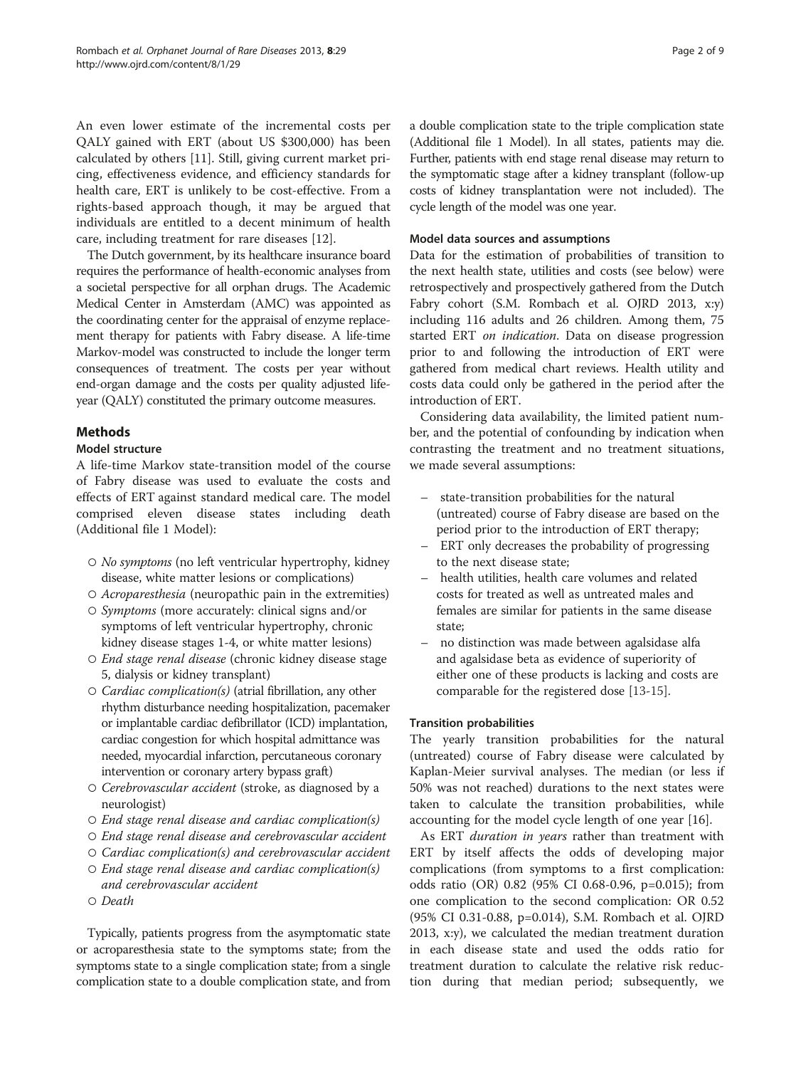An even lower estimate of the incremental costs per QALY gained with ERT (about US \$300,000) has been calculated by others [\[11](#page-7-0)]. Still, giving current market pricing, effectiveness evidence, and efficiency standards for health care, ERT is unlikely to be cost-effective. From a rights-based approach though, it may be argued that individuals are entitled to a decent minimum of health care, including treatment for rare diseases [[12\]](#page-7-0).

The Dutch government, by its healthcare insurance board requires the performance of health-economic analyses from a societal perspective for all orphan drugs. The Academic Medical Center in Amsterdam (AMC) was appointed as the coordinating center for the appraisal of enzyme replacement therapy for patients with Fabry disease. A life-time Markov-model was constructed to include the longer term consequences of treatment. The costs per year without end-organ damage and the costs per quality adjusted lifeyear (QALY) constituted the primary outcome measures.

# **Methods**

# Model structure

A life-time Markov state-transition model of the course of Fabry disease was used to evaluate the costs and effects of ERT against standard medical care. The model comprised eleven disease states including death (Additional file [1](#page-7-0) Model):

- No symptoms (no left ventricular hypertrophy, kidney disease, white matter lesions or complications)
- Acroparesthesia (neuropathic pain in the extremities)
- Symptoms (more accurately: clinical signs and/or symptoms of left ventricular hypertrophy, chronic kidney disease stages 1-4, or white matter lesions)
- End stage renal disease (chronic kidney disease stage 5, dialysis or kidney transplant)
- *Cardiac complication(s)* (atrial fibrillation, any other rhythm disturbance needing hospitalization, pacemaker or implantable cardiac defibrillator (ICD) implantation, cardiac congestion for which hospital admittance was needed, myocardial infarction, percutaneous coronary intervention or coronary artery bypass graft)
- *Cerebrovascular accident* (stroke, as diagnosed by a neurologist)
- $\circ$  End stage renal disease and cardiac complication(s)
- End stage renal disease and cerebrovascular accident
- $\circ$  Cardiac complication(s) and cerebrovascular accident
- $\circ$  End stage renal disease and cardiac complication(s) and cerebrovascular accident
- Death

Typically, patients progress from the asymptomatic state or acroparesthesia state to the symptoms state; from the symptoms state to a single complication state; from a single complication state to a double complication state, and from a double complication state to the triple complication state (Additional file [1](#page-7-0) Model). In all states, patients may die. Further, patients with end stage renal disease may return to the symptomatic stage after a kidney transplant (follow-up costs of kidney transplantation were not included). The cycle length of the model was one year.

# Model data sources and assumptions

Data for the estimation of probabilities of transition to the next health state, utilities and costs (see below) were retrospectively and prospectively gathered from the Dutch Fabry cohort (S.M. Rombach et al. OJRD 2013, x:y) including 116 adults and 26 children. Among them, 75 started ERT on indication. Data on disease progression prior to and following the introduction of ERT were gathered from medical chart reviews. Health utility and costs data could only be gathered in the period after the introduction of ERT.

Considering data availability, the limited patient number, and the potential of confounding by indication when contrasting the treatment and no treatment situations, we made several assumptions:

- state-transition probabilities for the natural (untreated) course of Fabry disease are based on the period prior to the introduction of ERT therapy;
- ERT only decreases the probability of progressing to the next disease state;
- health utilities, health care volumes and related costs for treated as well as untreated males and females are similar for patients in the same disease state;
- no distinction was made between agalsidase alfa and agalsidase beta as evidence of superiority of either one of these products is lacking and costs are comparable for the registered dose [[13](#page-7-0)-[15\]](#page-7-0).

# Transition probabilities

The yearly transition probabilities for the natural (untreated) course of Fabry disease were calculated by Kaplan-Meier survival analyses. The median (or less if 50% was not reached) durations to the next states were taken to calculate the transition probabilities, while accounting for the model cycle length of one year [[16\]](#page-8-0).

As ERT *duration in years* rather than treatment with ERT by itself affects the odds of developing major complications (from symptoms to a first complication: odds ratio (OR) 0.82 (95% CI 0.68-0.96, p=0.015); from one complication to the second complication: OR 0.52 (95% CI 0.31-0.88, p=0.014), S.M. Rombach et al. OJRD 2013, x:y), we calculated the median treatment duration in each disease state and used the odds ratio for treatment duration to calculate the relative risk reduction during that median period; subsequently, we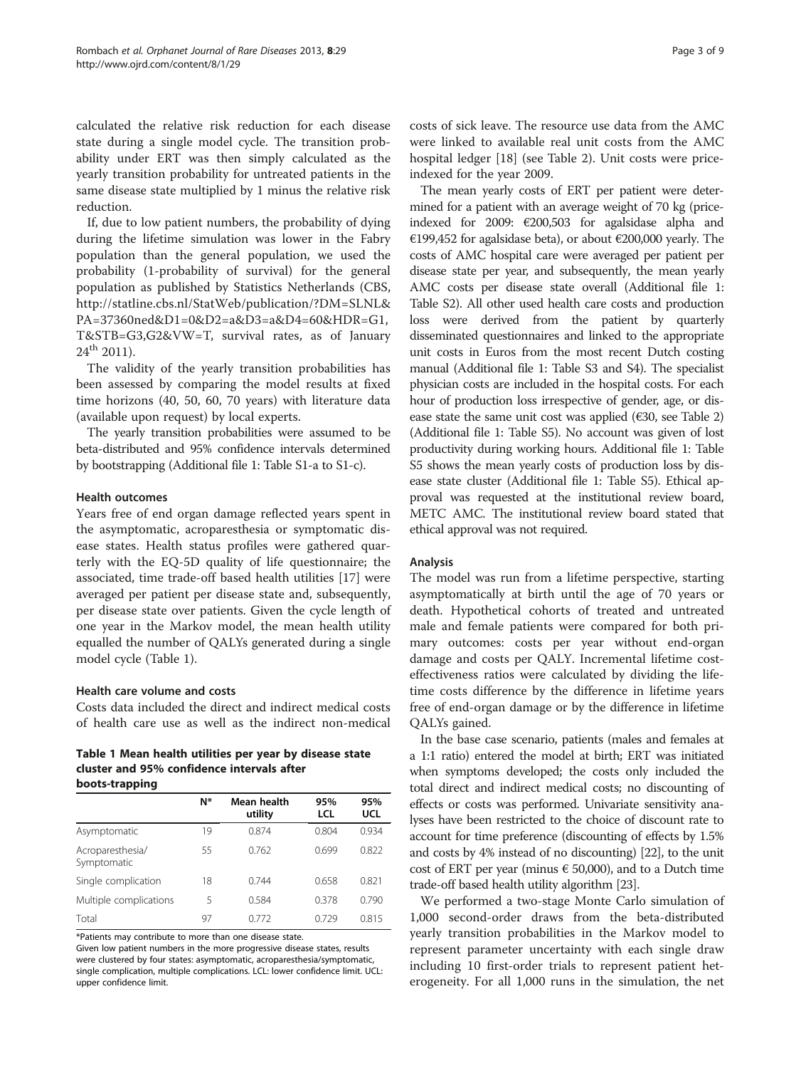calculated the relative risk reduction for each disease state during a single model cycle. The transition probability under ERT was then simply calculated as the yearly transition probability for untreated patients in the same disease state multiplied by 1 minus the relative risk reduction.

If, due to low patient numbers, the probability of dying during the lifetime simulation was lower in the Fabry population than the general population, we used the probability (1-probability of survival) for the general population as published by Statistics Netherlands (CBS, [http://statline.cbs.nl/StatWeb/publication/?DM=SLNL&](http://statline.cbs.nl/StatWeb/publication/?DM=SLNL&PA=37360ned&D1=0&D2=a&D3=a&D4=60&HDR=G1,T&STB=G3,G2&VW=T) [PA=37360ned&D1=0&D2=a&D3=a&D4=60&HDR=G1,](http://statline.cbs.nl/StatWeb/publication/?DM=SLNL&PA=37360ned&D1=0&D2=a&D3=a&D4=60&HDR=G1,T&STB=G3,G2&VW=T) [T&STB=G3,G2&VW=T,](http://statline.cbs.nl/StatWeb/publication/?DM=SLNL&PA=37360ned&D1=0&D2=a&D3=a&D4=60&HDR=G1,T&STB=G3,G2&VW=T) survival rates, as of January  $24^{th}$  2011).

The validity of the yearly transition probabilities has been assessed by comparing the model results at fixed time horizons (40, 50, 60, 70 years) with literature data (available upon request) by local experts.

The yearly transition probabilities were assumed to be beta-distributed and 95% confidence intervals determined by bootstrapping (Additional file [1](#page-7-0): Table S1-a to S1-c).

#### Health outcomes

Years free of end organ damage reflected years spent in the asymptomatic, acroparesthesia or symptomatic disease states. Health status profiles were gathered quarterly with the EQ-5D quality of life questionnaire; the associated, time trade-off based health utilities [[17\]](#page-8-0) were averaged per patient per disease state and, subsequently, per disease state over patients. Given the cycle length of one year in the Markov model, the mean health utility equalled the number of QALYs generated during a single model cycle (Table 1).

# Health care volume and costs

Costs data included the direct and indirect medical costs of health care use as well as the indirect non-medical

#### Table 1 Mean health utilities per year by disease state cluster and 95% confidence intervals after boots-trapping

|                                 | N* | Mean health<br>utility | 95%<br>LCL | 95%<br>UCL |
|---------------------------------|----|------------------------|------------|------------|
| Asymptomatic                    | 19 | 0.874                  | 0.804      | 0.934      |
| Acroparesthesia/<br>Symptomatic | 55 | 0.762                  | 0.699      | 0.822      |
| Single complication             | 18 | 0.744                  | 0.658      | 0.821      |
| Multiple complications          | 5  | 0.584                  | 0.378      | 0.790      |
| Total                           | 97 | 0.772                  | 0.729      | 0.815      |

\*Patients may contribute to more than one disease state.

Given low patient numbers in the more progressive disease states, results were clustered by four states: asymptomatic, acroparesthesia/symptomatic, single complication, multiple complications. LCL: lower confidence limit. UCL: upper confidence limit.

costs of sick leave. The resource use data from the AMC were linked to available real unit costs from the AMC hospital ledger [[18\]](#page-8-0) (see Table [2\)](#page-3-0). Unit costs were priceindexed for the year 2009.

The mean yearly costs of ERT per patient were determined for a patient with an average weight of 70 kg (priceindexed for 2009: €200,503 for agalsidase alpha and €199,452 for agalsidase beta), or about €200,000 yearly. The costs of AMC hospital care were averaged per patient per disease state per year, and subsequently, the mean yearly AMC costs per disease state overall (Additional file [1](#page-7-0): Table S2). All other used health care costs and production loss were derived from the patient by quarterly disseminated questionnaires and linked to the appropriate unit costs in Euros from the most recent Dutch costing manual (Additional file [1:](#page-7-0) Table S3 and S4). The specialist physician costs are included in the hospital costs. For each hour of production loss irrespective of gender, age, or disease state the same unit cost was applied ( $€30$ , see Table [2](#page-3-0)) (Additional file [1](#page-7-0): Table S5). No account was given of lost productivity during working hours. Additional file [1:](#page-7-0) Table S5 shows the mean yearly costs of production loss by disease state cluster (Additional file [1:](#page-7-0) Table S5). Ethical approval was requested at the institutional review board, METC AMC. The institutional review board stated that ethical approval was not required.

# Analysis

The model was run from a lifetime perspective, starting asymptomatically at birth until the age of 70 years or death. Hypothetical cohorts of treated and untreated male and female patients were compared for both primary outcomes: costs per year without end-organ damage and costs per QALY. Incremental lifetime costeffectiveness ratios were calculated by dividing the lifetime costs difference by the difference in lifetime years free of end-organ damage or by the difference in lifetime QALYs gained.

In the base case scenario, patients (males and females at a 1:1 ratio) entered the model at birth; ERT was initiated when symptoms developed; the costs only included the total direct and indirect medical costs; no discounting of effects or costs was performed. Univariate sensitivity analyses have been restricted to the choice of discount rate to account for time preference (discounting of effects by 1.5% and costs by 4% instead of no discounting) [\[22\]](#page-8-0), to the unit cost of ERT per year (minus  $\epsilon$  50,000), and to a Dutch time trade-off based health utility algorithm [\[23\]](#page-8-0).

We performed a two-stage Monte Carlo simulation of 1,000 second-order draws from the beta-distributed yearly transition probabilities in the Markov model to represent parameter uncertainty with each single draw including 10 first-order trials to represent patient heterogeneity. For all 1,000 runs in the simulation, the net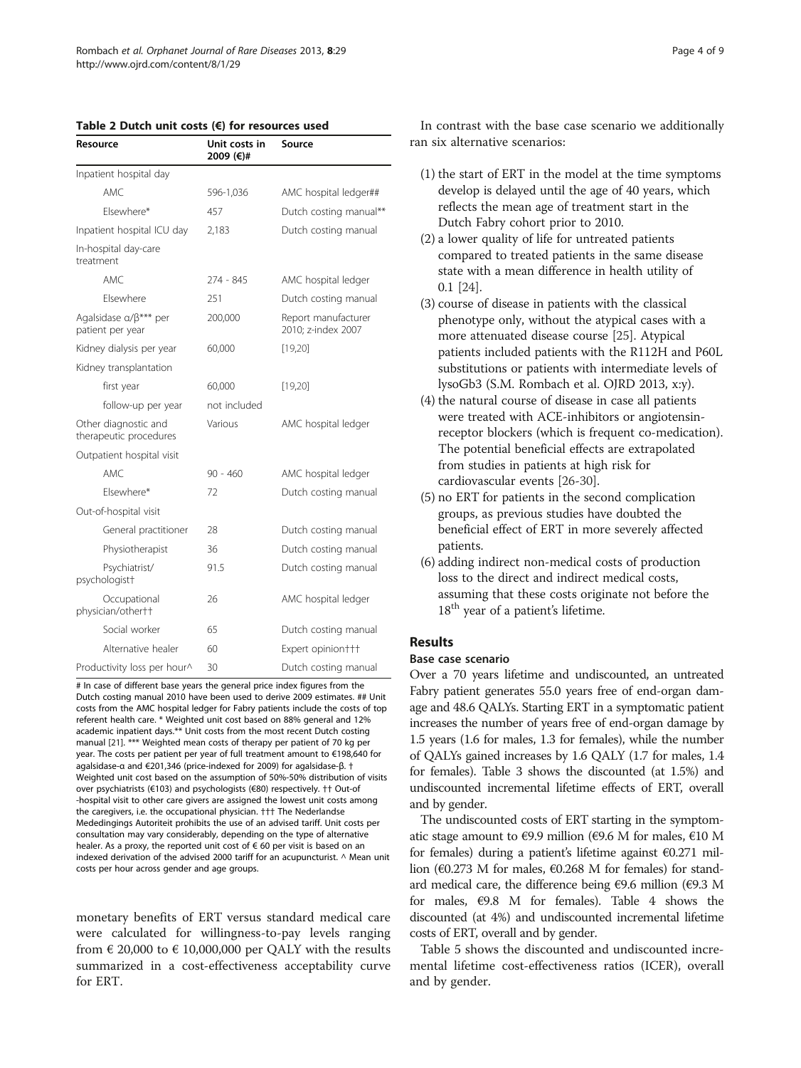<span id="page-3-0"></span>

| Table 2 Dutch unit costs $(\epsilon)$ for resources used |  |
|----------------------------------------------------------|--|
|----------------------------------------------------------|--|

| Resource                                            | Unit costs in<br>2009 (€)# | Source                                    |
|-----------------------------------------------------|----------------------------|-------------------------------------------|
| Inpatient hospital day                              |                            |                                           |
| AMC.                                                | 596-1,036                  | AMC hospital ledger##                     |
| Flsewhere*                                          | 457                        | Dutch costing manual**                    |
| Inpatient hospital ICU day                          | 2.183                      | Dutch costing manual                      |
| In-hospital day-care<br>treatment                   |                            |                                           |
| AMC.                                                | 274 - 845                  | AMC hospital ledger                       |
| Flsewhere                                           | 251                        | Dutch costing manual                      |
| Agalsidase a/ $\beta^{***}$ per<br>patient per year | 200,000                    | Report manufacturer<br>2010: z-index 2007 |
| Kidney dialysis per year                            | 60,000                     | [19,20]                                   |
| Kidney transplantation                              |                            |                                           |
| first year                                          | 60,000                     | [19,20]                                   |
| follow-up per year                                  | not included               |                                           |
| Other diagnostic and<br>therapeutic procedures      | Various                    | AMC hospital ledger                       |
| Outpatient hospital visit                           |                            |                                           |
| AMC.                                                | $90 - 460$                 | AMC hospital ledger                       |
| Flsewhere*                                          | 72                         | Dutch costing manual                      |
| Out-of-hospital visit                               |                            |                                           |
| General practitioner                                | 28                         | Dutch costing manual                      |
| Physiotherapist                                     | 36                         | Dutch costing manual                      |
| Psychiatrist/<br>psychologist <sup>+</sup>          | 91.5                       | Dutch costing manual                      |
| Occupational<br>physician/other††                   | 26                         | AMC hospital ledger                       |
| Social worker                                       | 65                         | Dutch costing manual                      |
| Alternative healer                                  | 60                         | Expert opinion†††                         |
| Productivity loss per hour^                         | 30                         | Dutch costing manual                      |

# In case of different base years the general price index figures from the Dutch costing manual 2010 have been used to derive 2009 estimates. ## Unit costs from the AMC hospital ledger for Fabry patients include the costs of top referent health care. \* Weighted unit cost based on 88% general and 12% academic inpatient days.\*\* Unit costs from the most recent Dutch costing manual [[21\]](#page-8-0). \*\*\* Weighted mean costs of therapy per patient of 70 kg per year. The costs per patient per year of full treatment amount to €198,640 for agalsidase-α and €201,346 (price-indexed for 2009) for agalsidase-β. † Weighted unit cost based on the assumption of 50%-50% distribution of visits over psychiatrists (€103) and psychologists (€80) respectively. †† Out-of -hospital visit to other care givers are assigned the lowest unit costs among the caregivers, i.e. the occupational physician. ††† The Nederlandse Mededingings Autoriteit prohibits the use of an advised tariff. Unit costs per consultation may vary considerably, depending on the type of alternative healer. As a proxy, the reported unit cost of € 60 per visit is based on an indexed derivation of the advised 2000 tariff for an acupuncturist. ^ Mean unit costs per hour across gender and age groups.

monetary benefits of ERT versus standard medical care were calculated for willingness-to-pay levels ranging from  $\epsilon$  20,000 to  $\epsilon$  10,000,000 per QALY with the results summarized in a cost-effectiveness acceptability curve for ERT.

In contrast with the base case scenario we additionally ran six alternative scenarios:

- (1) the start of ERT in the model at the time symptoms develop is delayed until the age of 40 years, which reflects the mean age of treatment start in the Dutch Fabry cohort prior to 2010.
- (2) a lower quality of life for untreated patients compared to treated patients in the same disease state with a mean difference in health utility of 0.1 [[24](#page-8-0)].
- (3) course of disease in patients with the classical phenotype only, without the atypical cases with a more attenuated disease course [\[25](#page-8-0)]. Atypical patients included patients with the R112H and P60L substitutions or patients with intermediate levels of lysoGb3 (S.M. Rombach et al. OJRD 2013, x:y).
- (4) the natural course of disease in case all patients were treated with ACE-inhibitors or angiotensinreceptor blockers (which is frequent co-medication). The potential beneficial effects are extrapolated from studies in patients at high risk for cardiovascular events [\[26-30\]](#page-8-0).
- (5) no ERT for patients in the second complication groups, as previous studies have doubted the beneficial effect of ERT in more severely affected patients.
- (6) adding indirect non-medical costs of production loss to the direct and indirect medical costs, assuming that these costs originate not before the 18<sup>th</sup> year of a patient's lifetime.

# Results

## Base case scenario

Over a 70 years lifetime and undiscounted, an untreated Fabry patient generates 55.0 years free of end-organ damage and 48.6 QALYs. Starting ERT in a symptomatic patient increases the number of years free of end-organ damage by 1.5 years (1.6 for males, 1.3 for females), while the number of QALYs gained increases by 1.6 QALY (1.7 for males, 1.4 for females). Table [3](#page-4-0) shows the discounted (at 1.5%) and undiscounted incremental lifetime effects of ERT, overall and by gender.

The undiscounted costs of ERT starting in the symptomatic stage amount to €9.9 million (€9.6 M for males,  $€10$  M for females) during a patient's lifetime against €0.271 million (€0.273 M for males, €0.268 M for females) for standard medical care, the difference being  $\epsilon$ 9.6 million ( $\epsilon$ 9.3 M for males,  $\epsilon$ 9.8 M for females). Table [4](#page-4-0) shows the discounted (at 4%) and undiscounted incremental lifetime costs of ERT, overall and by gender.

Table [5](#page-5-0) shows the discounted and undiscounted incremental lifetime cost-effectiveness ratios (ICER), overall and by gender.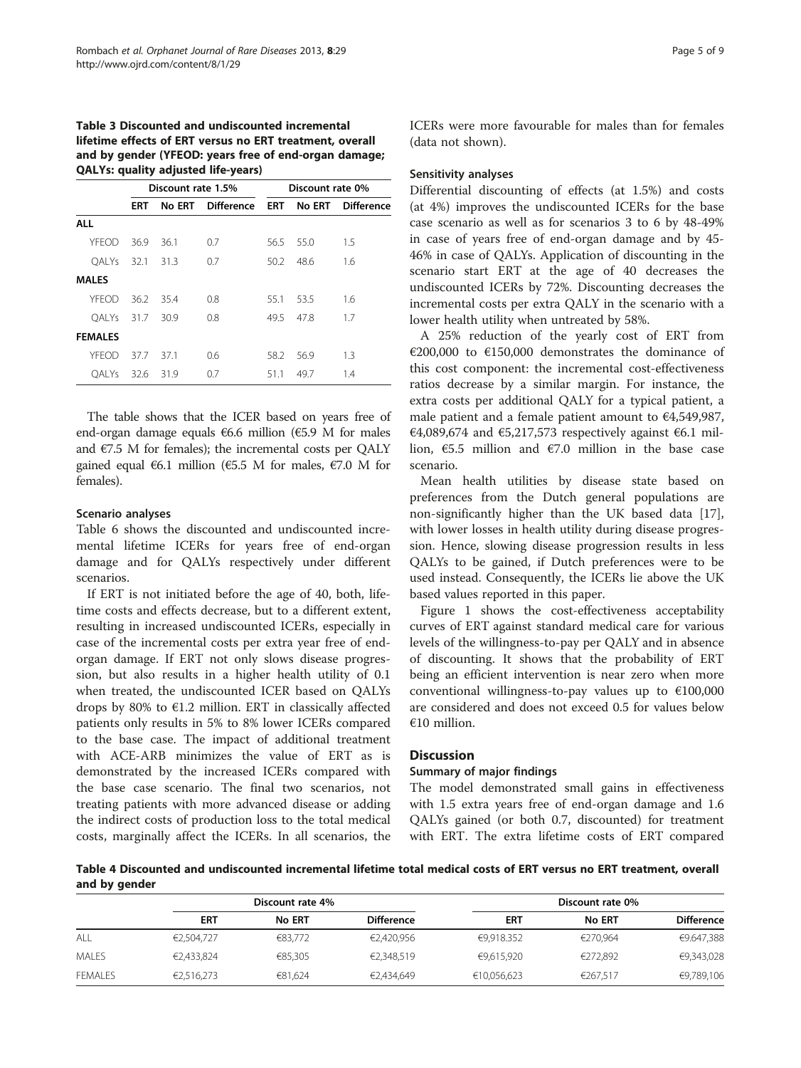# <span id="page-4-0"></span>Table 3 Discounted and undiscounted incremental lifetime effects of ERT versus no ERT treatment, overall and by gender (YFEOD: years free of end-organ damage; QALYs: quality adjusted life-years)

|        | Discount rate 1.5% |                   | Discount rate 0% |        |                   |
|--------|--------------------|-------------------|------------------|--------|-------------------|
| ERT    |                    | <b>Difference</b> | <b>ERT</b>       | No ERT | <b>Difference</b> |
|        |                    |                   |                  |        |                   |
| 36.9   | 36.1               | 0.7               | 56.5             | 55.0   | 1.5               |
| 32.1   | 31.3               | 0.7               | 50.2             | 48.6   | 1.6               |
|        |                    |                   |                  |        |                   |
| 36.2   | 35.4               | 0.8               | 55.1             | 53.5   | 1.6               |
| - 31.7 | 30.9               | 0.8               | 49.5             | 47.8   | 1.7               |
|        |                    |                   |                  |        |                   |
| 37.7   | 37.1               | 0.6               | 58.2             | 56.9   | 1.3               |
| - 32.6 | 31.9               | 0.7               | 51.1             | 49.7   | 1.4               |
|        |                    |                   | No ERT           |        |                   |

The table shows that the ICER based on years free of end-organ damage equals €6.6 million (€5.9 M for males and  $E$ 7.5 M for females); the incremental costs per OALY gained equal €6.1 million (€5.5 M for males, €7.0 M for females).

# Scenario analyses

Table [6](#page-5-0) shows the discounted and undiscounted incremental lifetime ICERs for years free of end-organ damage and for QALYs respectively under different scenarios.

If ERT is not initiated before the age of 40, both, lifetime costs and effects decrease, but to a different extent, resulting in increased undiscounted ICERs, especially in case of the incremental costs per extra year free of endorgan damage. If ERT not only slows disease progression, but also results in a higher health utility of 0.1 when treated, the undiscounted ICER based on QALYs drops by 80% to  $\epsilon$ 1.2 million. ERT in classically affected patients only results in 5% to 8% lower ICERs compared to the base case. The impact of additional treatment with ACE-ARB minimizes the value of ERT as is demonstrated by the increased ICERs compared with the base case scenario. The final two scenarios, not treating patients with more advanced disease or adding the indirect costs of production loss to the total medical costs, marginally affect the ICERs. In all scenarios, the ICERs were more favourable for males than for females (data not shown).

#### Sensitivity analyses

Differential discounting of effects (at 1.5%) and costs (at 4%) improves the undiscounted ICERs for the base case scenario as well as for scenarios 3 to 6 by 48-49% in case of years free of end-organ damage and by 45- 46% in case of QALYs. Application of discounting in the scenario start ERT at the age of 40 decreases the undiscounted ICERs by 72%. Discounting decreases the incremental costs per extra QALY in the scenario with a lower health utility when untreated by 58%.

A 25% reduction of the yearly cost of ERT from €200,000 to €150,000 demonstrates the dominance of this cost component: the incremental cost-effectiveness ratios decrease by a similar margin. For instance, the extra costs per additional QALY for a typical patient, a male patient and a female patient amount to €4,549,987, €4,089,674 and €5,217,573 respectively against €6.1 million, €5.5 million and €7.0 million in the base case scenario.

Mean health utilities by disease state based on preferences from the Dutch general populations are non-significantly higher than the UK based data [\[17](#page-8-0)], with lower losses in health utility during disease progression. Hence, slowing disease progression results in less QALYs to be gained, if Dutch preferences were to be used instead. Consequently, the ICERs lie above the UK based values reported in this paper.

Figure [1](#page-6-0) shows the cost-effectiveness acceptability curves of ERT against standard medical care for various levels of the willingness-to-pay per QALY and in absence of discounting. It shows that the probability of ERT being an efficient intervention is near zero when more conventional willingness-to-pay values up to  $€100,000$ are considered and does not exceed 0.5 for values below €10 million.

# **Discussion**

#### Summary of major findings

The model demonstrated small gains in effectiveness with 1.5 extra years free of end-organ damage and 1.6 QALYs gained (or both 0.7, discounted) for treatment with ERT. The extra lifetime costs of ERT compared

Table 4 Discounted and undiscounted incremental lifetime total medical costs of ERT versus no ERT treatment, overall and by gender

|                | Discount rate 4% |               |                   | Discount rate 0% |               |                   |
|----------------|------------------|---------------|-------------------|------------------|---------------|-------------------|
|                | <b>ERT</b>       | <b>No ERT</b> | <b>Difference</b> | <b>ERT</b>       | <b>No ERT</b> | <b>Difference</b> |
| ALL            | €2,504,727       | €83.772       | €2,420,956        | €9.918.352       | €270.964      | €9.647,388        |
| <b>MALES</b>   | €2,433,824       | €85,305       | €2,348,519        | €9,615,920       | €272,892      | €9,343,028        |
| <b>FEMALES</b> | €2,516,273       | €81.624       | €2,434,649        | €10,056,623      | €267,517      | €9,789,106        |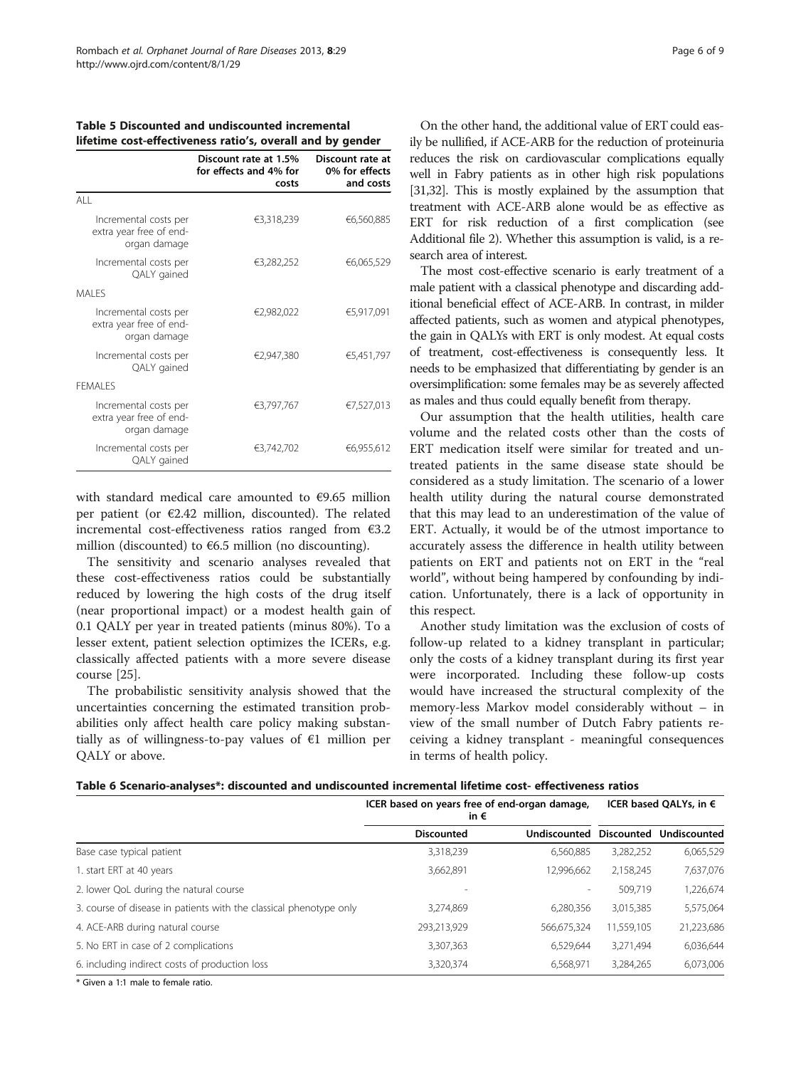|                                                                  | Discount rate at 1.5%<br>for effects and 4% for<br>costs | Discount rate at<br>0% for effects<br>and costs |
|------------------------------------------------------------------|----------------------------------------------------------|-------------------------------------------------|
| AII                                                              |                                                          |                                                 |
| Incremental costs per<br>extra year free of end-<br>organ damage | €3,318,239                                               | €6,560,885                                      |
| Incremental costs per<br>QALY gained                             | €3,282,252                                               | €6,065,529                                      |
| MAI FS                                                           |                                                          |                                                 |
| Incremental costs per<br>extra year free of end-<br>organ damage | €2,982,022                                               | €5,917,091                                      |
| Incremental costs per<br>QALY gained                             | €2.947.380                                               | €5,451,797                                      |
| <b>FFMAI FS</b>                                                  |                                                          |                                                 |
| Incremental costs per<br>extra year free of end-<br>organ damage | €3,797,767                                               | €7,527,013                                      |
| Incremental costs per<br>QALY gained                             | €3,742,702                                               | €6,955,612                                      |

<span id="page-5-0"></span>

| Table 5 Discounted and undiscounted incremental            |  |
|------------------------------------------------------------|--|
| lifetime cost-effectiveness ratio's, overall and by gender |  |

with standard medical care amounted to €9.65 million per patient (or €2.42 million, discounted). The related incremental cost-effectiveness ratios ranged from €3.2 million (discounted) to  $66.5$  million (no discounting).

The sensitivity and scenario analyses revealed that these cost-effectiveness ratios could be substantially reduced by lowering the high costs of the drug itself (near proportional impact) or a modest health gain of 0.1 QALY per year in treated patients (minus 80%). To a lesser extent, patient selection optimizes the ICERs, e.g. classically affected patients with a more severe disease course [[25](#page-8-0)].

The probabilistic sensitivity analysis showed that the uncertainties concerning the estimated transition probabilities only affect health care policy making substantially as of willingness-to-pay values of €1 million per QALY or above.

On the other hand, the additional value of ERT could easily be nullified, if ACE-ARB for the reduction of proteinuria reduces the risk on cardiovascular complications equally well in Fabry patients as in other high risk populations [[31,32\]](#page-8-0). This is mostly explained by the assumption that treatment with ACE-ARB alone would be as effective as ERT for risk reduction of a first complication (see Additional file [2](#page-7-0)). Whether this assumption is valid, is a research area of interest.

The most cost-effective scenario is early treatment of a male patient with a classical phenotype and discarding additional beneficial effect of ACE-ARB. In contrast, in milder affected patients, such as women and atypical phenotypes, the gain in QALYs with ERT is only modest. At equal costs of treatment, cost-effectiveness is consequently less. It needs to be emphasized that differentiating by gender is an oversimplification: some females may be as severely affected as males and thus could equally benefit from therapy.

Our assumption that the health utilities, health care volume and the related costs other than the costs of ERT medication itself were similar for treated and untreated patients in the same disease state should be considered as a study limitation. The scenario of a lower health utility during the natural course demonstrated that this may lead to an underestimation of the value of ERT. Actually, it would be of the utmost importance to accurately assess the difference in health utility between patients on ERT and patients not on ERT in the "real world", without being hampered by confounding by indication. Unfortunately, there is a lack of opportunity in this respect.

Another study limitation was the exclusion of costs of follow-up related to a kidney transplant in particular; only the costs of a kidney transplant during its first year were incorporated. Including these follow-up costs would have increased the structural complexity of the memory-less Markov model considerably without – in view of the small number of Dutch Fabry patients receiving a kidney transplant - meaningful consequences in terms of health policy.

|  |  | Table 6 Scenario-analyses*: discounted and undiscounted incremental lifetime cost- effectiveness ratios |  |  |  |  |  |  |
|--|--|---------------------------------------------------------------------------------------------------------|--|--|--|--|--|--|
|--|--|---------------------------------------------------------------------------------------------------------|--|--|--|--|--|--|

|                                                                    | ICER based on years free of end-organ damage,<br>in € |                     |                   | ICER based QALYs, in $\epsilon$ |
|--------------------------------------------------------------------|-------------------------------------------------------|---------------------|-------------------|---------------------------------|
|                                                                    | <b>Discounted</b>                                     | <b>Undiscounted</b> | <b>Discounted</b> | Undiscounted                    |
| Base case typical patient                                          | 3,318,239                                             | 6,560,885           | 3,282,252         | 6,065,529                       |
| 1. start ERT at 40 years                                           | 3,662,891                                             | 12,996,662          | 2,158,245         | 7,637,076                       |
| 2. lower QoL during the natural course                             |                                                       |                     | 509.719           | 1,226,674                       |
| 3. course of disease in patients with the classical phenotype only | 3.274.869                                             | 6.280.356           | 3,015,385         | 5,575,064                       |
| 4. ACE-ARB during natural course                                   | 293,213,929                                           | 566,675,324         | 11,559,105        | 21,223,686                      |
| 5. No ERT in case of 2 complications                               | 3,307,363                                             | 6.529.644           | 3,271,494         | 6,036,644                       |
| 6. including indirect costs of production loss                     | 3,320,374                                             | 6,568,971           | 3,284,265         | 6,073,006                       |
| * Channel 1.1 models to forced a matter                            |                                                       |                     |                   |                                 |

Given a 1:1 male to female ratio.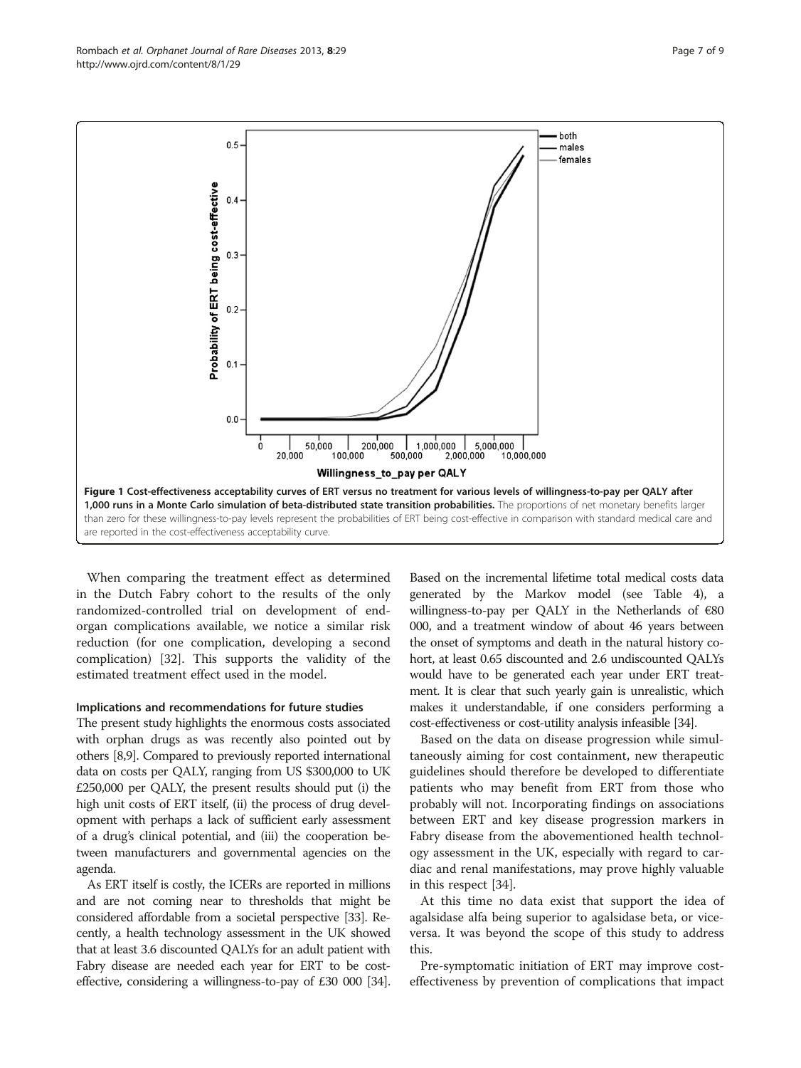When comparing the treatment effect as determined in the Dutch Fabry cohort to the results of the only randomized-controlled trial on development of endorgan complications available, we notice a similar risk reduction (for one complication, developing a second complication) [\[32](#page-8-0)]. This supports the validity of the estimated treatment effect used in the model.

#### Implications and recommendations for future studies

The present study highlights the enormous costs associated with orphan drugs as was recently also pointed out by others [\[8,9](#page-7-0)]. Compared to previously reported international data on costs per QALY, ranging from US \$300,000 to UK £250,000 per QALY, the present results should put (i) the high unit costs of ERT itself, (ii) the process of drug development with perhaps a lack of sufficient early assessment of a drug's clinical potential, and (iii) the cooperation between manufacturers and governmental agencies on the agenda.

As ERT itself is costly, the ICERs are reported in millions and are not coming near to thresholds that might be considered affordable from a societal perspective [\[33](#page-8-0)]. Recently, a health technology assessment in the UK showed that at least 3.6 discounted QALYs for an adult patient with Fabry disease are needed each year for ERT to be costeffective, considering a willingness-to-pay of £30 000 [\[34](#page-8-0)].

Based on the incremental lifetime total medical costs data generated by the Markov model (see Table 4), a willingness-to-pay per QALY in the Netherlands of €80 000, and a treatment window of about 46 years between the onset of symptoms and death in the natural history cohort, at least 0.65 discounted and 2.6 undiscounted QALYs would have to be generated each year under ERT treatment. It is clear that such yearly gain is unrealistic, which makes it understandable, if one considers performing a cost-effectiveness or cost-utility analysis infeasible [\[34\]](#page-8-0).

Based on the data on disease progression while simultaneously aiming for cost containment, new therapeutic guidelines should therefore be developed to differentiate patients who may benefit from ERT from those who probably will not. Incorporating findings on associations between ERT and key disease progression markers in Fabry disease from the abovementioned health technology assessment in the UK, especially with regard to cardiac and renal manifestations, may prove highly valuable in this respect [[34](#page-8-0)].

At this time no data exist that support the idea of agalsidase alfa being superior to agalsidase beta, or viceversa. It was beyond the scope of this study to address this.

Pre-symptomatic initiation of ERT may improve costeffectiveness by prevention of complications that impact

<span id="page-6-0"></span>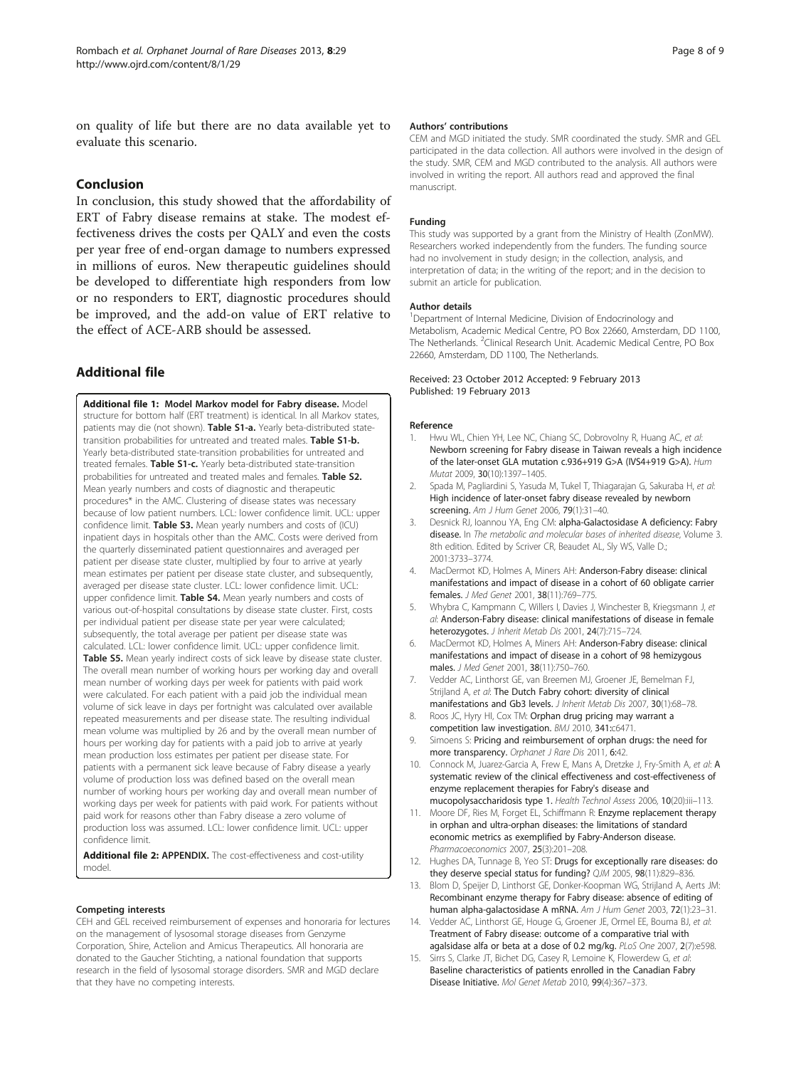<span id="page-7-0"></span>on quality of life but there are no data available yet to evaluate this scenario.

# Conclusion

In conclusion, this study showed that the affordability of ERT of Fabry disease remains at stake. The modest effectiveness drives the costs per QALY and even the costs per year free of end-organ damage to numbers expressed in millions of euros. New therapeutic guidelines should be developed to differentiate high responders from low or no responders to ERT, diagnostic procedures should be improved, and the add-on value of ERT relative to the effect of ACE-ARB should be assessed.

# Additional file

[Additional file 1:](http://www.biomedcentral.com/content/supplementary/1750-1172-8-29-S1.doc) Model Markov model for Fabry disease. Model structure for bottom half (ERT treatment) is identical. In all Markov states, patients may die (not shown). Table S1-a. Yearly beta-distributed statetransition probabilities for untreated and treated males. Table S1-b. Yearly beta-distributed state-transition probabilities for untreated and treated females. Table S1-c. Yearly beta-distributed state-transition probabilities for untreated and treated males and females. Table S2. Mean yearly numbers and costs of diagnostic and therapeutic procedures\* in the AMC. Clustering of disease states was necessary because of low patient numbers. LCL: lower confidence limit. UCL: upper confidence limit. Table S3. Mean yearly numbers and costs of (ICU) inpatient days in hospitals other than the AMC. Costs were derived from the quarterly disseminated patient questionnaires and averaged per patient per disease state cluster, multiplied by four to arrive at yearly mean estimates per patient per disease state cluster, and subsequently, averaged per disease state cluster. LCL: lower confidence limit. UCL: upper confidence limit. Table S4. Mean yearly numbers and costs of various out-of-hospital consultations by disease state cluster. First, costs per individual patient per disease state per year were calculated; subsequently, the total average per patient per disease state was calculated. LCL: lower confidence limit. UCL: upper confidence limit. Table S5. Mean yearly indirect costs of sick leave by disease state cluster. The overall mean number of working hours per working day and overall mean number of working days per week for patients with paid work were calculated. For each patient with a paid job the individual mean volume of sick leave in days per fortnight was calculated over available repeated measurements and per disease state. The resulting individual mean volume was multiplied by 26 and by the overall mean number of hours per working day for patients with a paid job to arrive at yearly mean production loss estimates per patient per disease state. For patients with a permanent sick leave because of Fabry disease a yearly volume of production loss was defined based on the overall mean number of working hours per working day and overall mean number of working days per week for patients with paid work. For patients without paid work for reasons other than Fabry disease a zero volume of production loss was assumed. LCL: lower confidence limit. UCL: upper confidence limit.

[Additional file 2:](http://www.biomedcentral.com/content/supplementary/1750-1172-8-29-S2.doc) APPENDIX. The cost-effectiveness and cost-utility model.

#### Competing interests

CEH and GEL received reimbursement of expenses and honoraria for lectures on the management of lysosomal storage diseases from Genzyme Corporation, Shire, Actelion and Amicus Therapeutics. All honoraria are donated to the Gaucher Stichting, a national foundation that supports research in the field of lysosomal storage disorders. SMR and MGD declare that they have no competing interests.

#### Authors' contributions

CEM and MGD initiated the study. SMR coordinated the study. SMR and GEL participated in the data collection. All authors were involved in the design of the study. SMR, CEM and MGD contributed to the analysis. All authors were involved in writing the report. All authors read and approved the final manuscript.

#### Funding

This study was supported by a grant from the Ministry of Health (ZonMW). Researchers worked independently from the funders. The funding source had no involvement in study design; in the collection, analysis, and interpretation of data; in the writing of the report; and in the decision to submit an article for publication.

#### Author details

<sup>1</sup>Department of Internal Medicine, Division of Endocrinology and Metabolism, Academic Medical Centre, PO Box 22660, Amsterdam, DD 1100, The Netherlands. <sup>2</sup>Clinical Research Unit. Academic Medical Centre, PO Box 22660, Amsterdam, DD 1100, The Netherlands.

#### Received: 23 October 2012 Accepted: 9 February 2013 Published: 19 February 2013

#### Reference

- Hwu WL, Chien YH, Lee NC, Chiang SC, Dobrovolny R, Huang AC, et al: Newborn screening for Fabry disease in Taiwan reveals a high incidence of the later-onset GLA mutation c.936+919 G>A (IVS4+919 G>A). Hum Mutat 2009, 30(10):1397–1405.
- 2. Spada M, Pagliardini S, Yasuda M, Tukel T, Thiagarajan G, Sakuraba H, et al: High incidence of later-onset fabry disease revealed by newborn screening. Am J Hum Genet 2006, 79(1):31–40.
- 3. Desnick RJ, Ioannou YA, Eng CM: alpha-Galactosidase A deficiency: Fabry disease. In The metabolic and molecular bases of inherited disease, Volume 3. 8th edition. Edited by Scriver CR, Beaudet AL, Sly WS, Valle D.; 2001:3733–3774.
- 4. MacDermot KD, Holmes A, Miners AH: Anderson-Fabry disease: clinical manifestations and impact of disease in a cohort of 60 obligate carrier females. J Med Genet 2001, 38(11):769–775.
- 5. Whybra C, Kampmann C, Willers I, Davies J, Winchester B, Kriegsmann J, et al: Anderson-Fabry disease: clinical manifestations of disease in female heterozygotes. J Inherit Metab Dis 2001, 24(7):715–724.
- 6. MacDermot KD, Holmes A, Miners AH: Anderson-Fabry disease: clinical manifestations and impact of disease in a cohort of 98 hemizygous males. J Med Genet 2001, 38(11):750–760.
- 7. Vedder AC, Linthorst GE, van Breemen MJ, Groener JE, Bemelman FJ, Strijland A, et al: The Dutch Fabry cohort: diversity of clinical manifestations and Gb3 levels. J Inherit Metab Dis 2007, 30(1):68-78.
- Roos JC, Hyry HI, Cox TM: Orphan drug pricing may warrant a competition law investigation. BMJ 2010, 341:c6471.
- 9. Simoens S: Pricing and reimbursement of orphan drugs: the need for more transparency. Orphanet J Rare Dis 2011, 6:42.
- 10. Connock M, Juarez-Garcia A, Frew E, Mans A, Dretzke J, Fry-Smith A, et al: A systematic review of the clinical effectiveness and cost-effectiveness of enzyme replacement therapies for Fabry's disease and mucopolysaccharidosis type 1. Health Technol Assess 2006, 10(20):iii-113.
- 11. Moore DF, Ries M, Forget EL, Schiffmann R: Enzyme replacement therapy in orphan and ultra-orphan diseases: the limitations of standard economic metrics as exemplified by Fabry-Anderson disease. Pharmacoeconomics 2007, 25(3):201–208.
- 12. Hughes DA, Tunnage B, Yeo ST: Drugs for exceptionally rare diseases: do they deserve special status for funding? QJM 2005, 98(11):829–836.
- 13. Blom D, Speijer D, Linthorst GE, Donker-Koopman WG, Strijland A, Aerts JM: Recombinant enzyme therapy for Fabry disease: absence of editing of human alpha-galactosidase A mRNA. Am J Hum Genet 2003, 72(1):23–31.
- 14. Vedder AC, Linthorst GE, Houge G, Groener JE, Ormel EE, Bouma BJ, et al: Treatment of Fabry disease: outcome of a comparative trial with agalsidase alfa or beta at a dose of 0.2 mg/kg. PLoS One 2007, 2(7):e598.
- 15. Sirrs S, Clarke JT, Bichet DG, Casey R, Lemoine K, Flowerdew G, et al: Baseline characteristics of patients enrolled in the Canadian Fabry Disease Initiative. Mol Genet Metab 2010, 99(4):367–373.